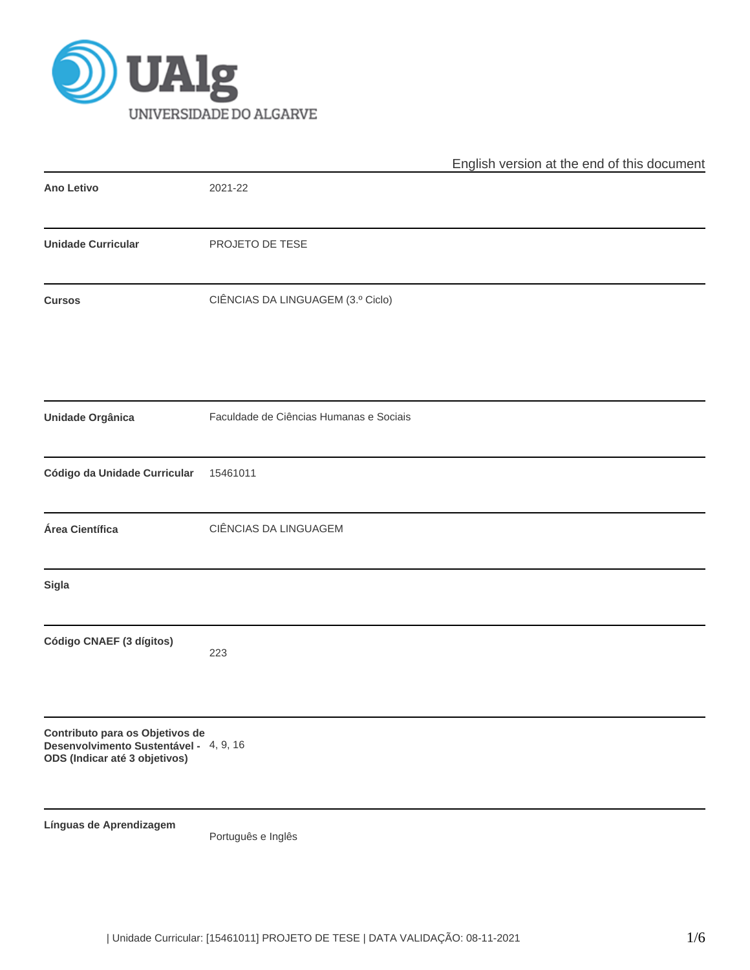

|                                                                                                            |                                         | English version at the end of this document |
|------------------------------------------------------------------------------------------------------------|-----------------------------------------|---------------------------------------------|
| <b>Ano Letivo</b>                                                                                          | 2021-22                                 |                                             |
| <b>Unidade Curricular</b>                                                                                  | PROJETO DE TESE                         |                                             |
| <b>Cursos</b>                                                                                              | CIÊNCIAS DA LINGUAGEM (3.º Ciclo)       |                                             |
| Unidade Orgânica                                                                                           | Faculdade de Ciências Humanas e Sociais |                                             |
| Código da Unidade Curricular                                                                               | 15461011                                |                                             |
| Área Científica                                                                                            | CIÊNCIAS DA LINGUAGEM                   |                                             |
| Sigla                                                                                                      |                                         |                                             |
| Código CNAEF (3 dígitos)                                                                                   | 223                                     |                                             |
| Contributo para os Objetivos de<br>Desenvolvimento Sustentável - 4, 9, 16<br>ODS (Indicar até 3 objetivos) |                                         |                                             |
| Línguas de Aprendizagem                                                                                    | Português e Inglês                      |                                             |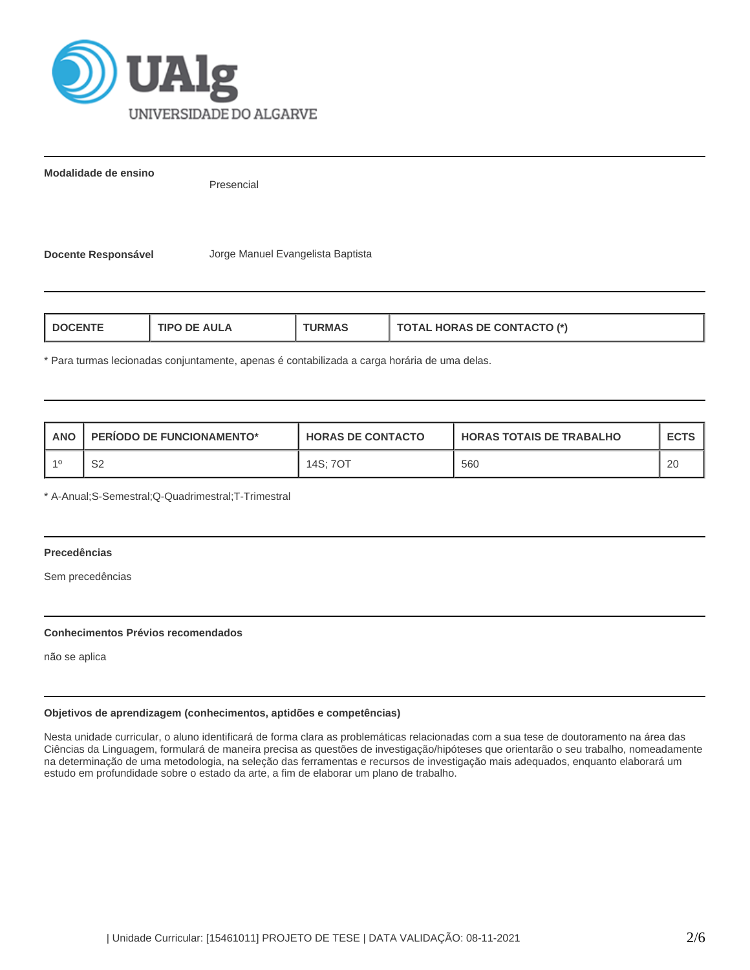

**Modalidade de ensino**

Presencial

**Docente Responsável** Jorge Manuel Evangelista Baptista

| <b>HORAS DE CONTACTO (*)</b><br><b>AULA</b><br><b>I DOCENT</b><br>1PO<br>ਾ?MA<br>71AL |
|---------------------------------------------------------------------------------------|
|---------------------------------------------------------------------------------------|

\* Para turmas lecionadas conjuntamente, apenas é contabilizada a carga horária de uma delas.

| ANC | <b>PERIODO DE FUNCIONAMENTO*</b> | <b>HORAS DE CONTACTO</b> | <b>HORAS TOTAIS DE TRABALHO</b> | <b>ECTS</b> |
|-----|----------------------------------|--------------------------|---------------------------------|-------------|
|     | S <sub>2</sub>                   | 14S: 70T                 | 560                             | 20          |

\* A-Anual;S-Semestral;Q-Quadrimestral;T-Trimestral

# **Precedências**

Sem precedências

### **Conhecimentos Prévios recomendados**

não se aplica

# **Objetivos de aprendizagem (conhecimentos, aptidões e competências)**

Nesta unidade curricular, o aluno identificará de forma clara as problemáticas relacionadas com a sua tese de doutoramento na área das Ciências da Linguagem, formulará de maneira precisa as questões de investigação/hipóteses que orientarão o seu trabalho, nomeadamente na determinação de uma metodologia, na seleção das ferramentas e recursos de investigação mais adequados, enquanto elaborará um estudo em profundidade sobre o estado da arte, a fim de elaborar um plano de trabalho.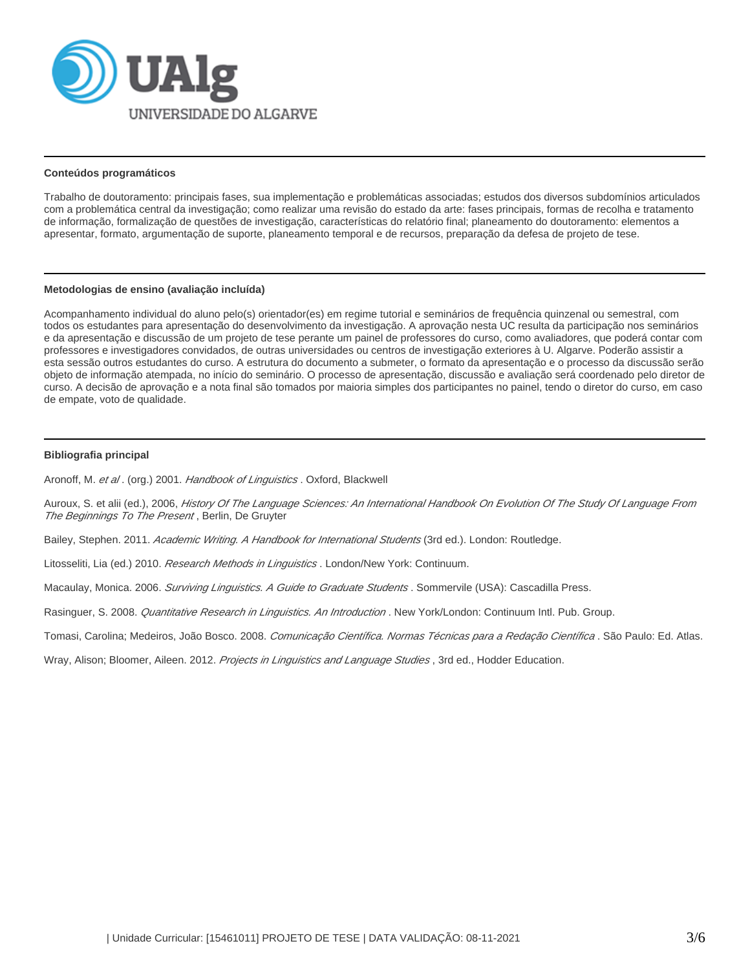

#### **Conteúdos programáticos**

Trabalho de doutoramento: principais fases, sua implementação e problemáticas associadas; estudos dos diversos subdomínios articulados com a problemática central da investigação; como realizar uma revisão do estado da arte: fases principais, formas de recolha e tratamento de informação, formalização de questões de investigação, características do relatório final; planeamento do doutoramento: elementos a apresentar, formato, argumentação de suporte, planeamento temporal e de recursos, preparação da defesa de projeto de tese.

#### **Metodologias de ensino (avaliação incluída)**

Acompanhamento individual do aluno pelo(s) orientador(es) em regime tutorial e seminários de frequência quinzenal ou semestral, com todos os estudantes para apresentação do desenvolvimento da investigação. A aprovação nesta UC resulta da participação nos seminários e da apresentação e discussão de um projeto de tese perante um painel de professores do curso, como avaliadores, que poderá contar com professores e investigadores convidados, de outras universidades ou centros de investigação exteriores à U. Algarve. Poderão assistir a esta sessão outros estudantes do curso. A estrutura do documento a submeter, o formato da apresentação e o processo da discussão serão objeto de informação atempada, no início do seminário. O processo de apresentação, discussão e avaliação será coordenado pelo diretor de curso. A decisão de aprovação e a nota final são tomados por maioria simples dos participantes no painel, tendo o diretor do curso, em caso de empate, voto de qualidade.

### **Bibliografia principal**

Aronoff, M. et al. (org.) 2001. Handbook of Linguistics . Oxford, Blackwell

Auroux, S. et alii (ed.), 2006, History Of The Language Sciences: An International Handbook On Evolution Of The Study Of Language From The Beginnings To The Present, Berlin, De Gruyter

Bailey, Stephen. 2011. Academic Writing. A Handbook for International Students (3rd ed.). London: Routledge.

Litosseliti, Lia (ed.) 2010. Research Methods in Linguistics. London/New York: Continuum.

Macaulay, Monica. 2006. Surviving Linguistics. A Guide to Graduate Students. Sommervile (USA): Cascadilla Press.

Rasinguer, S. 2008. Quantitative Research in Linguistics. An Introduction . New York/London: Continuum Intl. Pub. Group.

Tomasi, Carolina; Medeiros, João Bosco. 2008. Comunicação Científica. Normas Técnicas para a Redação Científica. São Paulo: Ed. Atlas.

Wray, Alison; Bloomer, Aileen. 2012. Projects in Linguistics and Language Studies, 3rd ed., Hodder Education.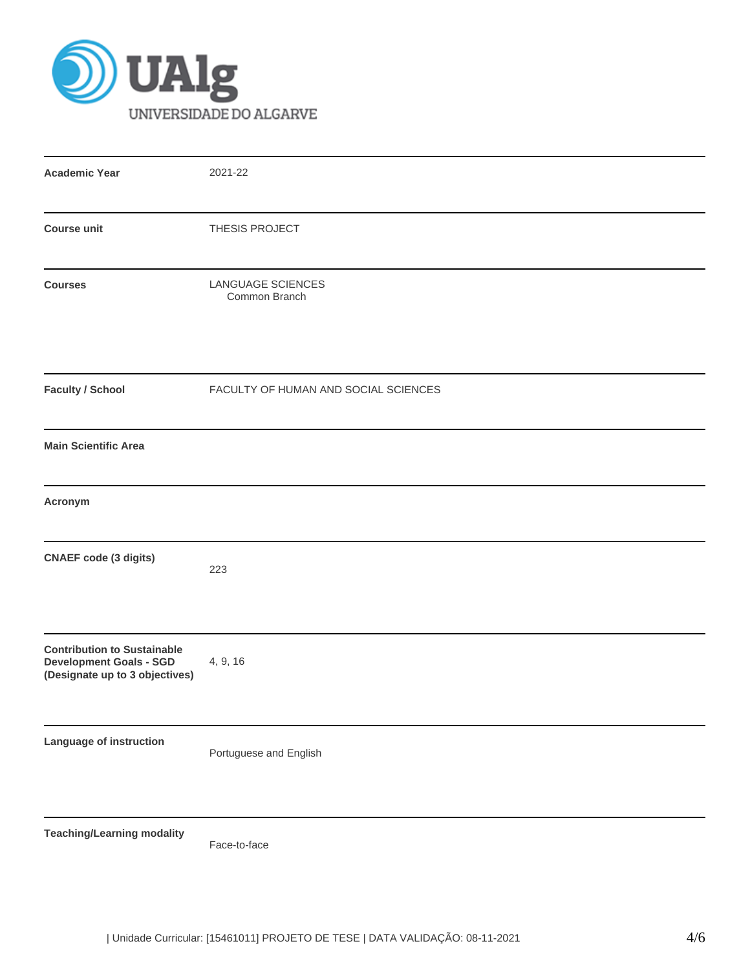

| <b>Academic Year</b>                                                                                   | 2021-22                              |
|--------------------------------------------------------------------------------------------------------|--------------------------------------|
| <b>Course unit</b>                                                                                     | THESIS PROJECT                       |
| <b>Courses</b>                                                                                         | LANGUAGE SCIENCES<br>Common Branch   |
| <b>Faculty / School</b>                                                                                | FACULTY OF HUMAN AND SOCIAL SCIENCES |
| <b>Main Scientific Area</b>                                                                            |                                      |
| Acronym                                                                                                |                                      |
| <b>CNAEF</b> code (3 digits)                                                                           | 223                                  |
| <b>Contribution to Sustainable</b><br><b>Development Goals - SGD</b><br>(Designate up to 3 objectives) | 4, 9, 16                             |
| Language of instruction                                                                                | Portuguese and English               |
| <b>Teaching/Learning modality</b>                                                                      | Face-to-face                         |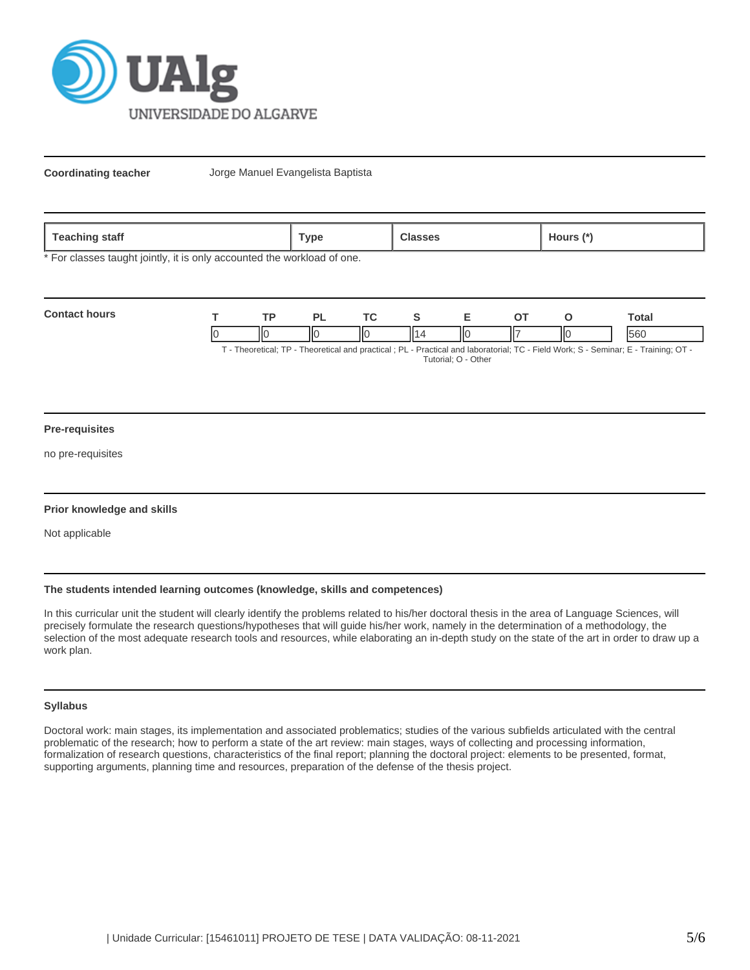

**Coordinating teacher** Jorge Manuel Evangelista Baptista

\* For classes taught jointly, it is only accounted the workload of one.

| <b>Contact hours</b> | <b>TD</b> |    |    |                                                                                                                              | `otal |
|----------------------|-----------|----|----|------------------------------------------------------------------------------------------------------------------------------|-------|
|                      | Ш         | IЮ | IІ | IІC                                                                                                                          | 560   |
|                      |           |    |    | T. Theoretical TD. Theoretical and proofisel (DI). Droptical and laboraterial: TO, Field Warles C, Comings (F, Training: OT) |       |

T - Theoretical; TP - Theoretical and practical ; PL - Practical and laboratorial; TC - Field Work; S - Seminar; E - Training; OT - Tutorial; O - Other

### **Pre-requisites**

no pre-requisites

### **Prior knowledge and skills**

Not applicable

## **The students intended learning outcomes (knowledge, skills and competences)**

In this curricular unit the student will clearly identify the problems related to his/her doctoral thesis in the area of Language Sciences, will precisely formulate the research questions/hypotheses that will guide his/her work, namely in the determination of a methodology, the selection of the most adequate research tools and resources, while elaborating an in-depth study on the state of the art in order to draw up a work plan.

# **Syllabus**

Doctoral work: main stages, its implementation and associated problematics; studies of the various subfields articulated with the central problematic of the research; how to perform a state of the art review: main stages, ways of collecting and processing information, formalization of research questions, characteristics of the final report; planning the doctoral project: elements to be presented, format, supporting arguments, planning time and resources, preparation of the defense of the thesis project.